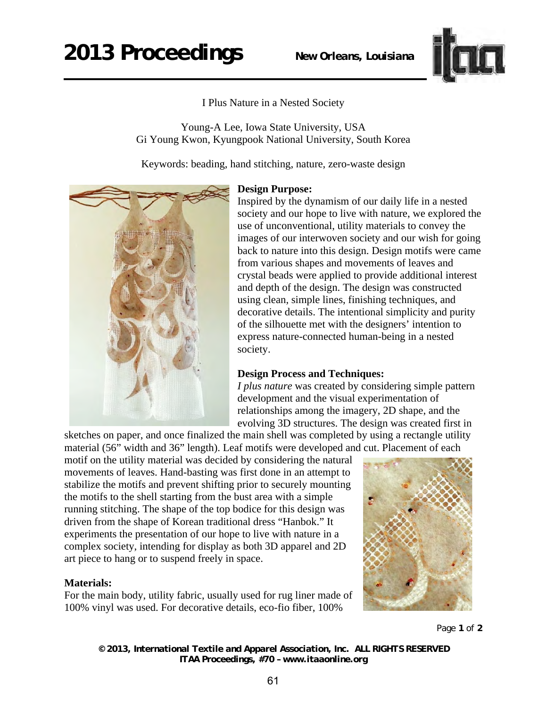## **2013 Proceedings** *New Orleans, Louisiana*



I Plus Nature in a Nested Society

Young-A Lee, Iowa State University, USA Gi Young Kwon, Kyungpook National University, South Korea

Keywords: beading, hand stitching, nature, zero-waste design



## **Design Purpose:**

Inspired by the dynamism of our daily life in a nested society and our hope to live with nature, we explored the use of unconventional, utility materials to convey the images of our interwoven society and our wish for going back to nature into this design. Design motifs were came from various shapes and movements of leaves and crystal beads were applied to provide additional interest and depth of the design. The design was constructed using clean, simple lines, finishing techniques, and decorative details. The intentional simplicity and purity of the silhouette met with the designers' intention to express nature-connected human-being in a nested society.

## **Design Process and Techniques:**

*I plus nature* was created by considering simple pattern development and the visual experimentation of relationships among the imagery, 2D shape, and the evolving 3D structures. The design was created first in

sketches on paper, and once finalized the main shell was completed by using a rectangle utility material (56" width and 36" length). Leaf motifs were developed and cut. Placement of each

motif on the utility material was decided by considering the natural movements of leaves. Hand-basting was first done in an attempt to stabilize the motifs and prevent shifting prior to securely mounting the motifs to the shell starting from the bust area with a simple running stitching. The shape of the top bodice for this design was driven from the shape of Korean traditional dress "Hanbok." It experiments the presentation of our hope to live with nature in a complex society, intending for display as both 3D apparel and 2D art piece to hang or to suspend freely in space.

## **Materials:**

For the main body, utility fabric, usually used for rug liner made of 100% vinyl was used. For decorative details, eco-fio fiber, 100%



Page **1** of **2** 

*© 2013, International Textile and Apparel Association, Inc. ALL RIGHTS RESERVED ITAA Proceedings, #70 – www.itaaonline.org*